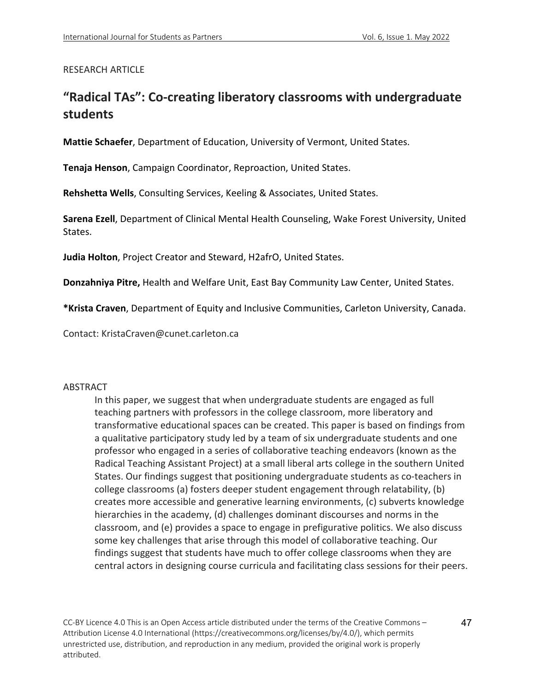# RESEARCH ARTICLE

# **"Radical TAs": Co-creating liberatory classrooms with undergraduate students**

**Mattie Schaefer**, Department of Education, University of Vermont, United States.

**Tenaja Henson**, Campaign Coordinator, Reproaction, United States.

**Rehshetta Wells**, Consulting Services, Keeling & Associates, United States.

**Sarena Ezell**, Department of Clinical Mental Health Counseling, Wake Forest University, United States.

**Judia Holton**, Project Creator and Steward, H2afrO, United States.

**Donzahniya Pitre,** Health and Welfare Unit, East Bay Community Law Center, United States.

**\*Krista Craven**, Department of Equity and Inclusive Communities, Carleton University, Canada.

Contact: KristaCraven@cunet.carleton.ca

#### ABSTRACT

In this paper, we suggest that when undergraduate students are engaged as full teaching partners with professors in the college classroom, more liberatory and transformative educational spaces can be created. This paper is based on findings from a qualitative participatory study led by a team of six undergraduate students and one professor who engaged in a series of collaborative teaching endeavors (known as the Radical Teaching Assistant Project) at a small liberal arts college in the southern United States. Our findings suggest that positioning undergraduate students as co-teachers in college classrooms (a) fosters deeper student engagement through relatability, (b) creates more accessible and generative learning environments, (c) subverts knowledge hierarchies in the academy, (d) challenges dominant discourses and norms in the classroom, and (e) provides a space to engage in prefigurative politics. We also discuss some key challenges that arise through this model of collaborative teaching. Our findings suggest that students have much to offer college classrooms when they are central actors in designing course curricula and facilitating class sessions for their peers.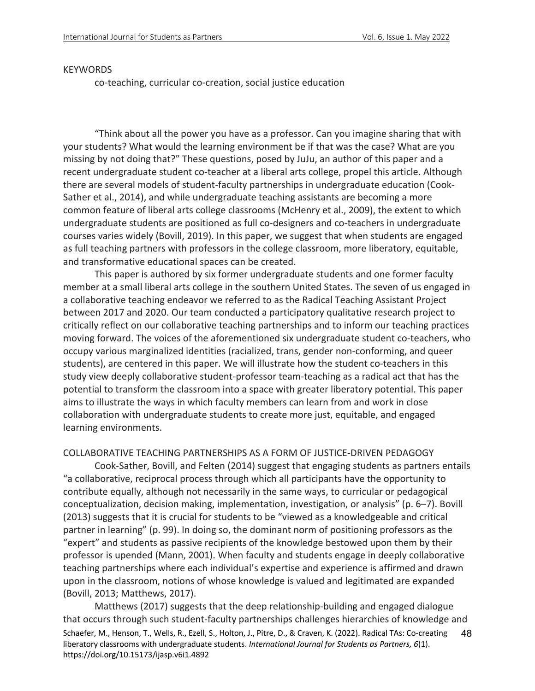#### **KEYWORDS**

co-teaching, curricular co-creation, social justice education

"Think about all the power you have as a professor. Can you imagine sharing that with your students? What would the learning environment be if that was the case? What are you missing by not doing that?" These questions, posed by JuJu, an author of this paper and a recent undergraduate student co-teacher at a liberal arts college, propel this article. Although there are several models of student-faculty partnerships in undergraduate education (Cook-Sather et al., 2014), and while undergraduate teaching assistants are becoming a more common feature of liberal arts college classrooms (McHenry et al., 2009), the extent to which undergraduate students are positioned as full co-designers and co-teachers in undergraduate courses varies widely (Bovill, 2019). In this paper, we suggest that when students are engaged as full teaching partners with professors in the college classroom, more liberatory, equitable, and transformative educational spaces can be created.

This paper is authored by six former undergraduate students and one former faculty member at a small liberal arts college in the southern United States. The seven of us engaged in a collaborative teaching endeavor we referred to as the Radical Teaching Assistant Project between 2017 and 2020. Our team conducted a participatory qualitative research project to critically reflect on our collaborative teaching partnerships and to inform our teaching practices moving forward. The voices of the aforementioned six undergraduate student co-teachers, who occupy various marginalized identities (racialized, trans, gender non-conforming, and queer students), are centered in this paper. We will illustrate how the student co-teachers in this study view deeply collaborative student-professor team-teaching as a radical act that has the potential to transform the classroom into a space with greater liberatory potential. This paper aims to illustrate the ways in which faculty members can learn from and work in close collaboration with undergraduate students to create more just, equitable, and engaged learning environments.

COLLABORATIVE TEACHING PARTNERSHIPS AS A FORM OF JUSTICE-DRIVEN PEDAGOGY

Cook-Sather, Bovill, and Felten (2014) suggest that engaging students as partners entails "a collaborative, reciprocal process through which all participants have the opportunity to contribute equally, although not necessarily in the same ways, to curricular or pedagogical conceptualization, decision making, implementation, investigation, or analysis" (p. 6–7). Bovill (2013) suggests that it is crucial for students to be "viewed as a knowledgeable and critical partner in learning" (p. 99). In doing so, the dominant norm of positioning professors as the "expert" and students as passive recipients of the knowledge bestowed upon them by their professor is upended (Mann, 2001). When faculty and students engage in deeply collaborative teaching partnerships where each individual's expertise and experience is affirmed and drawn upon in the classroom, notions of whose knowledge is valued and legitimated are expanded (Bovill, 2013; Matthews, 2017).

Schaefer, M., Henson, T., Wells, R., Ezell, S., Holton, J., Pitre, D., & Craven, K. (2022). Radical TAs: Co-creating liberatory classrooms with undergraduate students. *International Journal for Students as Partners, 6*(1). https://doi.org/10.15173/ijasp.v6i1.4892 48 Matthews (2017) suggests that the deep relationship-building and engaged dialogue that occurs through such student-faculty partnerships challenges hierarchies of knowledge and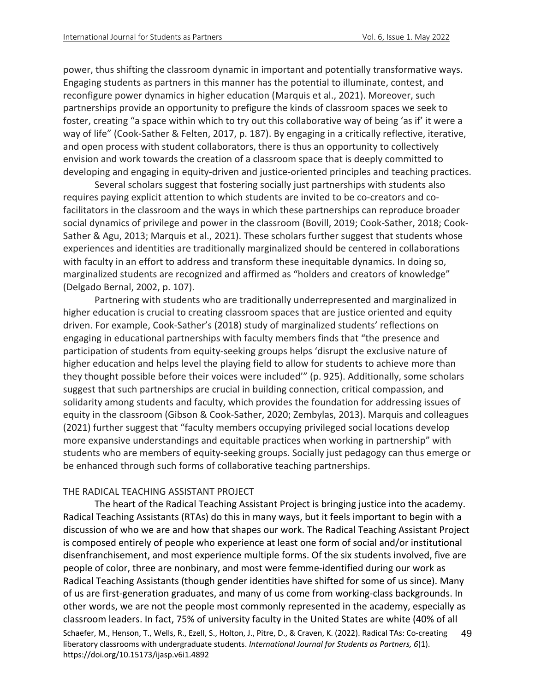power, thus shifting the classroom dynamic in important and potentially transformative ways. Engaging students as partners in this manner has the potential to illuminate, contest, and reconfigure power dynamics in higher education (Marquis et al., 2021). Moreover, such partnerships provide an opportunity to prefigure the kinds of classroom spaces we seek to foster, creating "a space within which to try out this collaborative way of being 'as if' it were a way of life" (Cook-Sather & Felten, 2017, p. 187). By engaging in a critically reflective, iterative, and open process with student collaborators, there is thus an opportunity to collectively envision and work towards the creation of a classroom space that is deeply committed to developing and engaging in equity-driven and justice-oriented principles and teaching practices.

Several scholars suggest that fostering socially just partnerships with students also requires paying explicit attention to which students are invited to be co-creators and cofacilitators in the classroom and the ways in which these partnerships can reproduce broader social dynamics of privilege and power in the classroom (Bovill, 2019; Cook-Sather, 2018; Cook-Sather & Agu, 2013; Marquis et al., 2021). These scholars further suggest that students whose experiences and identities are traditionally marginalized should be centered in collaborations with faculty in an effort to address and transform these inequitable dynamics. In doing so, marginalized students are recognized and affirmed as "holders and creators of knowledge" (Delgado Bernal, 2002, p. 107).

Partnering with students who are traditionally underrepresented and marginalized in higher education is crucial to creating classroom spaces that are justice oriented and equity driven. For example, Cook-Sather's (2018) study of marginalized students' reflections on engaging in educational partnerships with faculty members finds that "the presence and participation of students from equity-seeking groups helps 'disrupt the exclusive nature of higher education and helps level the playing field to allow for students to achieve more than they thought possible before their voices were included'" (p. 925). Additionally, some scholars suggest that such partnerships are crucial in building connection, critical compassion, and solidarity among students and faculty, which provides the foundation for addressing issues of equity in the classroom (Gibson & Cook-Sather, 2020; Zembylas, 2013). Marquis and colleagues (2021) further suggest that "faculty members occupying privileged social locations develop more expansive understandings and equitable practices when working in partnership" with students who are members of equity-seeking groups. Socially just pedagogy can thus emerge or be enhanced through such forms of collaborative teaching partnerships.

#### THE RADICAL TEACHING ASSISTANT PROJECT

Schaefer, M., Henson, T., Wells, R., Ezell, S., Holton, J., Pitre, D., & Craven, K. (2022). Radical TAs: Co-creating liberatory classrooms with undergraduate students. *International Journal for Students as Partners, 6*(1). https://doi.org/10.15173/ijasp.v6i1.4892 49 The heart of the Radical Teaching Assistant Project is bringing justice into the academy. Radical Teaching Assistants (RTAs) do this in many ways, but it feels important to begin with a discussion of who we are and how that shapes our work. The Radical Teaching Assistant Project is composed entirely of people who experience at least one form of social and/or institutional disenfranchisement, and most experience multiple forms. Of the six students involved, five are people of color, three are nonbinary, and most were femme-identified during our work as Radical Teaching Assistants (though gender identities have shifted for some of us since). Many of us are first-generation graduates, and many of us come from working-class backgrounds. In other words, we are not the people most commonly represented in the academy, especially as classroom leaders. In fact, 75% of university faculty in the United States are white (40% of all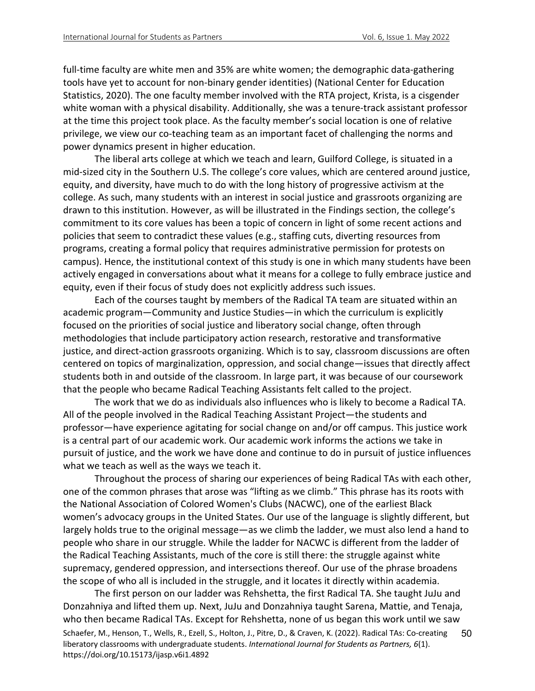full-time faculty are white men and 35% are white women; the demographic data-gathering tools have yet to account for non-binary gender identities) (National Center for Education Statistics, 2020). The one faculty member involved with the RTA project, Krista, is a cisgender white woman with a physical disability. Additionally, she was a tenure-track assistant professor at the time this project took place. As the faculty member's social location is one of relative privilege, we view our co-teaching team as an important facet of challenging the norms and power dynamics present in higher education.

The liberal arts college at which we teach and learn, Guilford College, is situated in a mid-sized city in the Southern U.S. The college's core values, which are centered around justice, equity, and diversity, have much to do with the long history of progressive activism at the college. As such, many students with an interest in social justice and grassroots organizing are drawn to this institution. However, as will be illustrated in the Findings section, the college's commitment to its core values has been a topic of concern in light of some recent actions and policies that seem to contradict these values (e.g., staffing cuts, diverting resources from programs, creating a formal policy that requires administrative permission for protests on campus). Hence, the institutional context of this study is one in which many students have been actively engaged in conversations about what it means for a college to fully embrace justice and equity, even if their focus of study does not explicitly address such issues.

Each of the courses taught by members of the Radical TA team are situated within an academic program—Community and Justice Studies—in which the curriculum is explicitly focused on the priorities of social justice and liberatory social change, often through methodologies that include participatory action research, restorative and transformative justice, and direct-action grassroots organizing. Which is to say, classroom discussions are often centered on topics of marginalization, oppression, and social change—issues that directly affect students both in and outside of the classroom. In large part, it was because of our coursework that the people who became Radical Teaching Assistants felt called to the project.

The work that we do as individuals also influences who is likely to become a Radical TA. All of the people involved in the Radical Teaching Assistant Project—the students and professor—have experience agitating for social change on and/or off campus. This justice work is a central part of our academic work. Our academic work informs the actions we take in pursuit of justice, and the work we have done and continue to do in pursuit of justice influences what we teach as well as the ways we teach it.

Throughout the process of sharing our experiences of being Radical TAs with each other, one of the common phrases that arose was "lifting as we climb." This phrase has its roots with the National Association of Colored Women's Clubs (NACWC), one of the earliest Black women's advocacy groups in the United States. Our use of the language is slightly different, but largely holds true to the original message—as we climb the ladder, we must also lend a hand to people who share in our struggle. While the ladder for NACWC is different from the ladder of the Radical Teaching Assistants, much of the core is still there: the struggle against white supremacy, gendered oppression, and intersections thereof. Our use of the phrase broadens the scope of who all is included in the struggle, and it locates it directly within academia.

Schaefer, M., Henson, T., Wells, R., Ezell, S., Holton, J., Pitre, D., & Craven, K. (2022). Radical TAs: Co-creating liberatory classrooms with undergraduate students. *International Journal for Students as Partners, 6*(1). https://doi.org/10.15173/ijasp.v6i1.4892 50 The first person on our ladder was Rehshetta, the first Radical TA. She taught JuJu and Donzahniya and lifted them up. Next, JuJu and Donzahniya taught Sarena, Mattie, and Tenaja, who then became Radical TAs. Except for Rehshetta, none of us began this work until we saw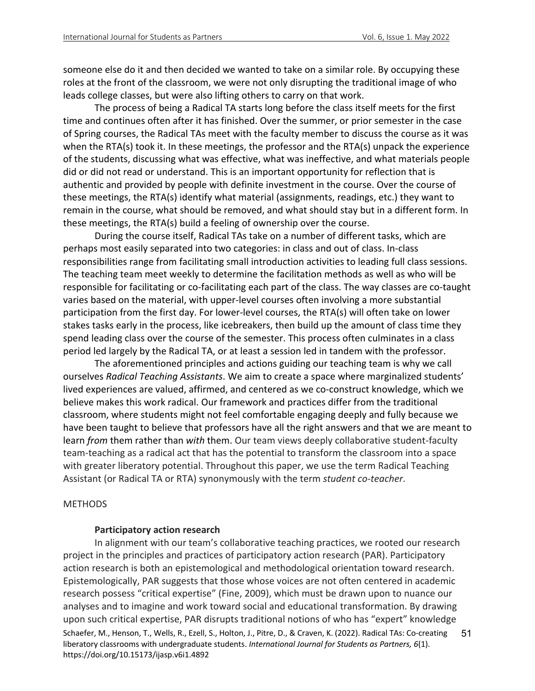someone else do it and then decided we wanted to take on a similar role. By occupying these roles at the front of the classroom, we were not only disrupting the traditional image of who leads college classes, but were also lifting others to carry on that work.

The process of being a Radical TA starts long before the class itself meets for the first time and continues often after it has finished. Over the summer, or prior semester in the case of Spring courses, the Radical TAs meet with the faculty member to discuss the course as it was when the RTA(s) took it. In these meetings, the professor and the RTA(s) unpack the experience of the students, discussing what was effective, what was ineffective, and what materials people did or did not read or understand. This is an important opportunity for reflection that is authentic and provided by people with definite investment in the course. Over the course of these meetings, the RTA(s) identify what material (assignments, readings, etc.) they want to remain in the course, what should be removed, and what should stay but in a different form. In these meetings, the RTA(s) build a feeling of ownership over the course.

During the course itself, Radical TAs take on a number of different tasks, which are perhaps most easily separated into two categories: in class and out of class. In-class responsibilities range from facilitating small introduction activities to leading full class sessions. The teaching team meet weekly to determine the facilitation methods as well as who will be responsible for facilitating or co-facilitating each part of the class. The way classes are co-taught varies based on the material, with upper-level courses often involving a more substantial participation from the first day. For lower-level courses, the RTA(s) will often take on lower stakes tasks early in the process, like icebreakers, then build up the amount of class time they spend leading class over the course of the semester. This process often culminates in a class period led largely by the Radical TA, or at least a session led in tandem with the professor.

The aforementioned principles and actions guiding our teaching team is why we call ourselves *Radical Teaching Assistants*. We aim to create a space where marginalized students' lived experiences are valued, affirmed, and centered as we co-construct knowledge, which we believe makes this work radical. Our framework and practices differ from the traditional classroom, where students might not feel comfortable engaging deeply and fully because we have been taught to believe that professors have all the right answers and that we are meant to learn *from* them rather than *with* them. Our team views deeply collaborative student-faculty team-teaching as a radical act that has the potential to transform the classroom into a space with greater liberatory potential. Throughout this paper, we use the term Radical Teaching Assistant (or Radical TA or RTA) synonymously with the term *student co-teacher*.

#### **METHODS**

#### **Participatory action research**

Schaefer, M., Henson, T., Wells, R., Ezell, S., Holton, J., Pitre, D., & Craven, K. (2022). Radical TAs: Co-creating liberatory classrooms with undergraduate students. *International Journal for Students as Partners, 6*(1). https://doi.org/10.15173/ijasp.v6i1.4892 51 In alignment with our team's collaborative teaching practices, we rooted our research project in the principles and practices of participatory action research (PAR). Participatory action research is both an epistemological and methodological orientation toward research. Epistemologically, PAR suggests that those whose voices are not often centered in academic research possess "critical expertise" (Fine, 2009), which must be drawn upon to nuance our analyses and to imagine and work toward social and educational transformation. By drawing upon such critical expertise, PAR disrupts traditional notions of who has "expert" knowledge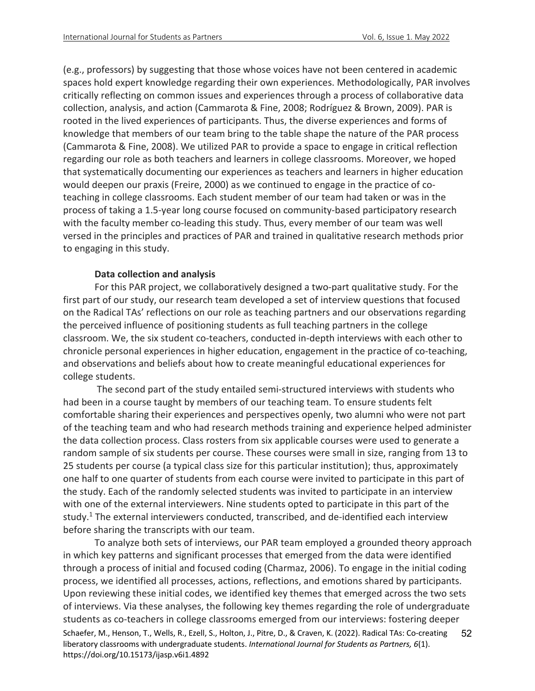(e.g., professors) by suggesting that those whose voices have not been centered in academic spaces hold expert knowledge regarding their own experiences. Methodologically, PAR involves critically reflecting on common issues and experiences through a process of collaborative data collection, analysis, and action (Cammarota & Fine, 2008; Rodríguez & Brown, 2009). PAR is rooted in the lived experiences of participants. Thus, the diverse experiences and forms of knowledge that members of our team bring to the table shape the nature of the PAR process (Cammarota & Fine, 2008). We utilized PAR to provide a space to engage in critical reflection regarding our role as both teachers and learners in college classrooms. Moreover, we hoped that systematically documenting our experiences as teachers and learners in higher education would deepen our praxis (Freire, 2000) as we continued to engage in the practice of coteaching in college classrooms. Each student member of our team had taken or was in the process of taking a 1.5-year long course focused on community-based participatory research with the faculty member co-leading this study. Thus, every member of our team was well versed in the principles and practices of PAR and trained in qualitative research methods prior to engaging in this study.

#### **Data collection and analysis**

For this PAR project, we collaboratively designed a two-part qualitative study. For the first part of our study, our research team developed a set of interview questions that focused on the Radical TAs' reflections on our role as teaching partners and our observations regarding the perceived influence of positioning students as full teaching partners in the college classroom. We, the six student co-teachers, conducted in-depth interviews with each other to chronicle personal experiences in higher education, engagement in the practice of co-teaching, and observations and beliefs about how to create meaningful educational experiences for college students.

The second part of the study entailed semi-structured interviews with students who had been in a course taught by members of our teaching team. To ensure students felt comfortable sharing their experiences and perspectives openly, two alumni who were not part of the teaching team and who had research methods training and experience helped administer the data collection process. Class rosters from six applicable courses were used to generate a random sample of six students per course. These courses were small in size, ranging from 13 to 25 students per course (a typical class size for this particular institution); thus, approximately one half to one quarter of students from each course were invited to participate in this part of the study. Each of the randomly selected students was invited to participate in an interview with one of the external interviewers. Nine students opted to participate in this part of the study.<sup>1</sup> The external interviewers conducted, transcribed, and de-identified each interview before sharing the transcripts with our team.

Schaefer, M., Henson, T., Wells, R., Ezell, S., Holton, J., Pitre, D., & Craven, K. (2022). Radical TAs: Co-creating liberatory classrooms with undergraduate students. *International Journal for Students as Partners, 6*(1). https://doi.org/10.15173/ijasp.v6i1.4892 52 To analyze both sets of interviews, our PAR team employed a grounded theory approach in which key patterns and significant processes that emerged from the data were identified through a process of initial and focused coding (Charmaz, 2006). To engage in the initial coding process, we identified all processes, actions, reflections, and emotions shared by participants. Upon reviewing these initial codes, we identified key themes that emerged across the two sets of interviews. Via these analyses, the following key themes regarding the role of undergraduate students as co-teachers in college classrooms emerged from our interviews: fostering deeper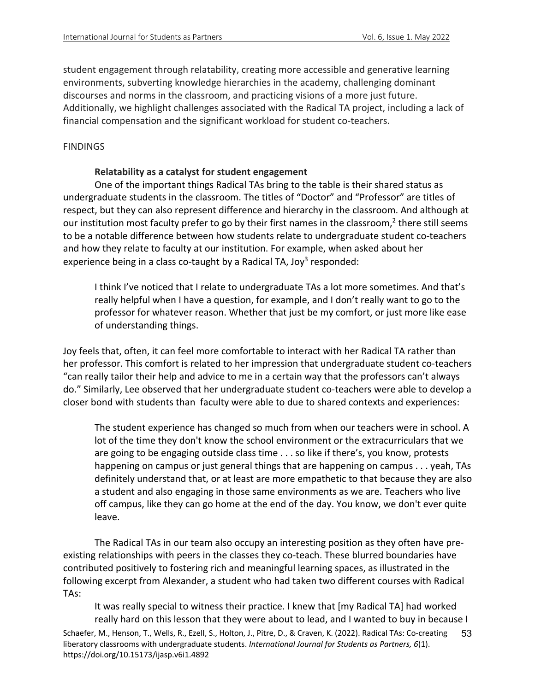student engagement through relatability, creating more accessible and generative learning environments, subverting knowledge hierarchies in the academy, challenging dominant discourses and norms in the classroom, and practicing visions of a more just future. Additionally, we highlight challenges associated with the Radical TA project, including a lack of financial compensation and the significant workload for student co-teachers.

#### **FINDINGS**

#### **Relatability as a catalyst for student engagement**

One of the important things Radical TAs bring to the table is their shared status as undergraduate students in the classroom. The titles of "Doctor" and "Professor" are titles of respect, but they can also represent difference and hierarchy in the classroom. And although at our institution most faculty prefer to go by their first names in the classroom,<sup>2</sup> there still seems to be a notable difference between how students relate to undergraduate student co-teachers and how they relate to faculty at our institution. For example, when asked about her experience being in a class co-taught by a Radical TA, Joy<sup>3</sup> responded:

I think I've noticed that I relate to undergraduate TAs a lot more sometimes. And that's really helpful when I have a question, for example, and I don't really want to go to the professor for whatever reason. Whether that just be my comfort, or just more like ease of understanding things.

Joy feels that, often, it can feel more comfortable to interact with her Radical TA rather than her professor. This comfort is related to her impression that undergraduate student co-teachers "can really tailor their help and advice to me in a certain way that the professors can't always do." Similarly, Lee observed that her undergraduate student co-teachers were able to develop a closer bond with students than faculty were able to due to shared contexts and experiences:

The student experience has changed so much from when our teachers were in school. A lot of the time they don't know the school environment or the extracurriculars that we are going to be engaging outside class time . . . so like if there's, you know, protests happening on campus or just general things that are happening on campus . . . yeah, TAs definitely understand that, or at least are more empathetic to that because they are also a student and also engaging in those same environments as we are. Teachers who live off campus, like they can go home at the end of the day. You know, we don't ever quite leave.

The Radical TAs in our team also occupy an interesting position as they often have preexisting relationships with peers in the classes they co-teach. These blurred boundaries have contributed positively to fostering rich and meaningful learning spaces, as illustrated in the following excerpt from Alexander, a student who had taken two different courses with Radical TAs:

Schaefer, M., Henson, T., Wells, R., Ezell, S., Holton, J., Pitre, D., & Craven, K. (2022). Radical TAs: Co-creating liberatory classrooms with undergraduate students. *International Journal for Students as Partners, 6*(1). https://doi.org/10.15173/ijasp.v6i1.4892 53 It was really special to witness their practice. I knew that [my Radical TA] had worked really hard on this lesson that they were about to lead, and I wanted to buy in because I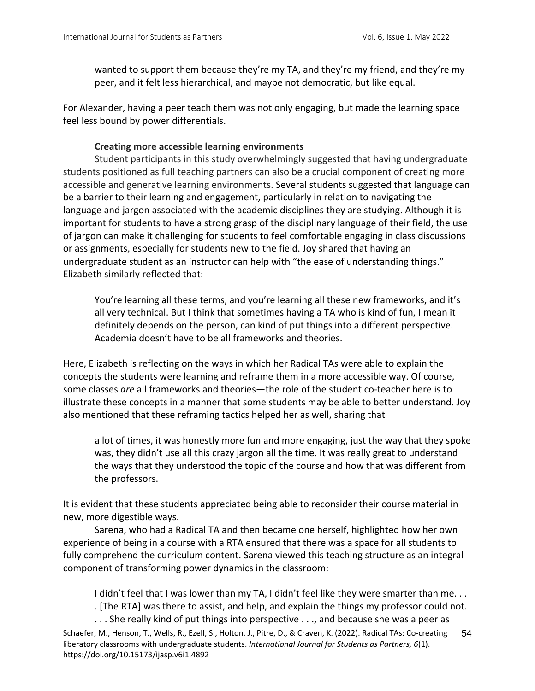wanted to support them because they're my TA, and they're my friend, and they're my peer, and it felt less hierarchical, and maybe not democratic, but like equal.

For Alexander, having a peer teach them was not only engaging, but made the learning space feel less bound by power differentials.

## **Creating more accessible learning environments**

Student participants in this study overwhelmingly suggested that having undergraduate students positioned as full teaching partners can also be a crucial component of creating more accessible and generative learning environments. Several students suggested that language can be a barrier to their learning and engagement, particularly in relation to navigating the language and jargon associated with the academic disciplines they are studying. Although it is important for students to have a strong grasp of the disciplinary language of their field, the use of jargon can make it challenging for students to feel comfortable engaging in class discussions or assignments, especially for students new to the field. Joy shared that having an undergraduate student as an instructor can help with "the ease of understanding things." Elizabeth similarly reflected that:

You're learning all these terms, and you're learning all these new frameworks, and it's all very technical. But I think that sometimes having a TA who is kind of fun, I mean it definitely depends on the person, can kind of put things into a different perspective. Academia doesn't have to be all frameworks and theories.

Here, Elizabeth is reflecting on the ways in which her Radical TAs were able to explain the concepts the students were learning and reframe them in a more accessible way. Of course, some classes *are* all frameworks and theories—the role of the student co-teacher here is to illustrate these concepts in a manner that some students may be able to better understand. Joy also mentioned that these reframing tactics helped her as well, sharing that

a lot of times, it was honestly more fun and more engaging, just the way that they spoke was, they didn't use all this crazy jargon all the time. It was really great to understand the ways that they understood the topic of the course and how that was different from the professors.

It is evident that these students appreciated being able to reconsider their course material in new, more digestible ways.

Sarena, who had a Radical TA and then became one herself, highlighted how her own experience of being in a course with a RTA ensured that there was a space for all students to fully comprehend the curriculum content. Sarena viewed this teaching structure as an integral component of transforming power dynamics in the classroom:

I didn't feel that I was lower than my TA, I didn't feel like they were smarter than me. . .

. [The RTA] was there to assist, and help, and explain the things my professor could not.

Schaefer, M., Henson, T., Wells, R., Ezell, S., Holton, J., Pitre, D., & Craven, K. (2022). Radical TAs: Co-creating liberatory classrooms with undergraduate students. *International Journal for Students as Partners, 6*(1). https://doi.org/10.15173/ijasp.v6i1.4892 54 . . . She really kind of put things into perspective . . ., and because she was a peer as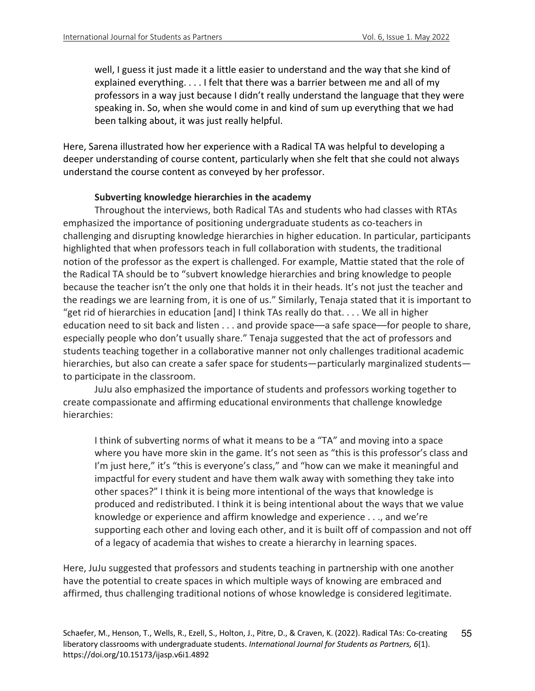well, I guess it just made it a little easier to understand and the way that she kind of explained everything. . . . I felt that there was a barrier between me and all of my professors in a way just because I didn't really understand the language that they were speaking in. So, when she would come in and kind of sum up everything that we had been talking about, it was just really helpful.

Here, Sarena illustrated how her experience with a Radical TA was helpful to developing a deeper understanding of course content, particularly when she felt that she could not always understand the course content as conveyed by her professor.

## **Subverting knowledge hierarchies in the academy**

Throughout the interviews, both Radical TAs and students who had classes with RTAs emphasized the importance of positioning undergraduate students as co-teachers in challenging and disrupting knowledge hierarchies in higher education. In particular, participants highlighted that when professors teach in full collaboration with students, the traditional notion of the professor as the expert is challenged. For example, Mattie stated that the role of the Radical TA should be to "subvert knowledge hierarchies and bring knowledge to people because the teacher isn't the only one that holds it in their heads. It's not just the teacher and the readings we are learning from, it is one of us." Similarly, Tenaja stated that it is important to "get rid of hierarchies in education [and] I think TAs really do that. . . . We all in higher education need to sit back and listen . . . and provide space—a safe space—for people to share, especially people who don't usually share." Tenaja suggested that the act of professors and students teaching together in a collaborative manner not only challenges traditional academic hierarchies, but also can create a safer space for students—particularly marginalized students to participate in the classroom.

JuJu also emphasized the importance of students and professors working together to create compassionate and affirming educational environments that challenge knowledge hierarchies:

I think of subverting norms of what it means to be a "TA" and moving into a space where you have more skin in the game. It's not seen as "this is this professor's class and I'm just here," it's "this is everyone's class," and "how can we make it meaningful and impactful for every student and have them walk away with something they take into other spaces?" I think it is being more intentional of the ways that knowledge is produced and redistributed. I think it is being intentional about the ways that we value knowledge or experience and affirm knowledge and experience . . ., and we're supporting each other and loving each other, and it is built off of compassion and not off of a legacy of academia that wishes to create a hierarchy in learning spaces.

Here, JuJu suggested that professors and students teaching in partnership with one another have the potential to create spaces in which multiple ways of knowing are embraced and affirmed, thus challenging traditional notions of whose knowledge is considered legitimate.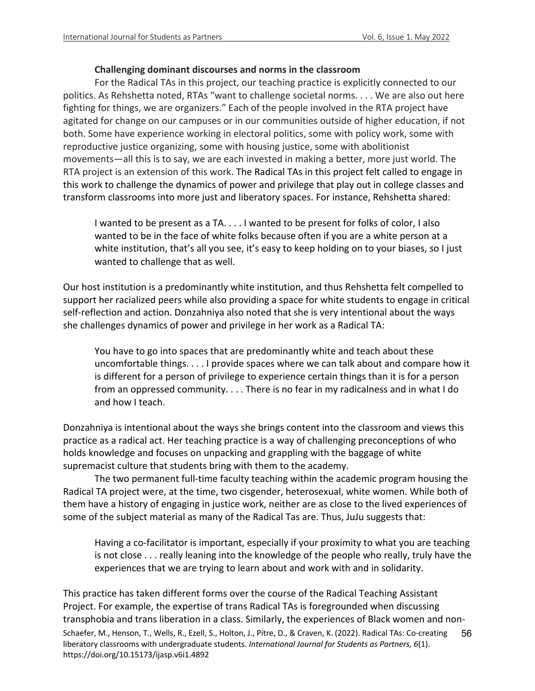#### **Challenging dominant discourses and norms in the classroom**

For the Radical TAs in this project, our teaching practice is explicitly connected to our politics. As Rehshetta noted, RTAs "want to challenge societal norms. . . . We are also out here fighting for things, we are organizers." Each of the people involved in the RTA project have agitated for change on our campuses or in our communities outside of higher education, if not both. Some have experience working in electoral politics, some with policy work, some with reproductive justice organizing, some with housing justice, some with abolitionist movements—all this is to say, we are each invested in making a better, more just world. The RTA project is an extension of this work. The Radical TAs in this project felt called to engage in this work to challenge the dynamics of power and privilege that play out in college classes and transform classrooms into more just and liberatory spaces. For instance, Rehshetta shared:

I wanted to be present as a TA. . . . I wanted to be present for folks of color, I also wanted to be in the face of white folks because often if you are a white person at a white institution, that's all you see, it's easy to keep holding on to your biases, so I just wanted to challenge that as well.

Our host institution is a predominantly white institution, and thus Rehshetta felt compelled to support her racialized peers while also providing a space for white students to engage in critical self-reflection and action. Donzahniya also noted that she is very intentional about the ways she challenges dynamics of power and privilege in her work as a Radical TA:

You have to go into spaces that are predominantly white and teach about these uncomfortable things. . . . I provide spaces where we can talk about and compare how it is different for a person of privilege to experience certain things than it is for a person from an oppressed community. . . . There is no fear in my radicalness and in what I do and how I teach.

Donzahniya is intentional about the ways she brings content into the classroom and views this practice as a radical act. Her teaching practice is a way of challenging preconceptions of who holds knowledge and focuses on unpacking and grappling with the baggage of white supremacist culture that students bring with them to the academy.

The two permanent full-time faculty teaching within the academic program housing the Radical TA project were, at the time, two cisgender, heterosexual, white women. While both of them have a history of engaging in justice work, neither are as close to the lived experiences of some of the subject material as many of the Radical Tas are. Thus, JuJu suggests that:

Having a co-facilitator is important, especially if your proximity to what you are teaching is not close . . . really leaning into the knowledge of the people who really, truly have the experiences that we are trying to learn about and work with and in solidarity.

Schaefer, M., Henson, T., Wells, R., Ezell, S., Holton, J., Pitre, D., & Craven, K. (2022). Radical TAs: Co-creating liberatory classrooms with undergraduate students. *International Journal for Students as Partners, 6*(1). https://doi.org/10.15173/ijasp.v6i1.4892 56 This practice has taken different forms over the course of the Radical Teaching Assistant Project. For example, the expertise of trans Radical TAs is foregrounded when discussing transphobia and trans liberation in a class. Similarly, the experiences of Black women and non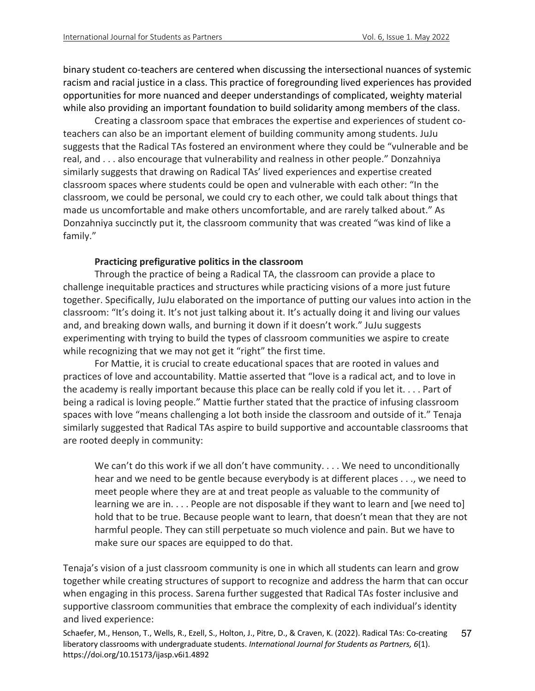binary student co-teachers are centered when discussing the intersectional nuances of systemic racism and racial justice in a class. This practice of foregrounding lived experiences has provided opportunities for more nuanced and deeper understandings of complicated, weighty material while also providing an important foundation to build solidarity among members of the class.

Creating a classroom space that embraces the expertise and experiences of student coteachers can also be an important element of building community among students. JuJu suggests that the Radical TAs fostered an environment where they could be "vulnerable and be real, and . . . also encourage that vulnerability and realness in other people." Donzahniya similarly suggests that drawing on Radical TAs' lived experiences and expertise created classroom spaces where students could be open and vulnerable with each other: "In the classroom, we could be personal, we could cry to each other, we could talk about things that made us uncomfortable and make others uncomfortable, and are rarely talked about." As Donzahniya succinctly put it, the classroom community that was created "was kind of like a family."

## **Practicing prefigurative politics in the classroom**

Through the practice of being a Radical TA, the classroom can provide a place to challenge inequitable practices and structures while practicing visions of a more just future together. Specifically, JuJu elaborated on the importance of putting our values into action in the classroom: "It's doing it. It's not just talking about it. It's actually doing it and living our values and, and breaking down walls, and burning it down if it doesn't work." JuJu suggests experimenting with trying to build the types of classroom communities we aspire to create while recognizing that we may not get it "right" the first time.

For Mattie, it is crucial to create educational spaces that are rooted in values and practices of love and accountability. Mattie asserted that "love is a radical act, and to love in the academy is really important because this place can be really cold if you let it. . . . Part of being a radical is loving people." Mattie further stated that the practice of infusing classroom spaces with love "means challenging a lot both inside the classroom and outside of it." Tenaja similarly suggested that Radical TAs aspire to build supportive and accountable classrooms that are rooted deeply in community:

We can't do this work if we all don't have community. . . . We need to unconditionally hear and we need to be gentle because everybody is at different places . . ., we need to meet people where they are at and treat people as valuable to the community of learning we are in. . . . People are not disposable if they want to learn and [we need to] hold that to be true. Because people want to learn, that doesn't mean that they are not harmful people. They can still perpetuate so much violence and pain. But we have to make sure our spaces are equipped to do that.

Tenaja's vision of a just classroom community is one in which all students can learn and grow together while creating structures of support to recognize and address the harm that can occur when engaging in this process. Sarena further suggested that Radical TAs foster inclusive and supportive classroom communities that embrace the complexity of each individual's identity and lived experience:

Schaefer, M., Henson, T., Wells, R., Ezell, S., Holton, J., Pitre, D., & Craven, K. (2022). Radical TAs: Co-creating liberatory classrooms with undergraduate students. *International Journal for Students as Partners, 6*(1). https://doi.org/10.15173/ijasp.v6i1.4892 57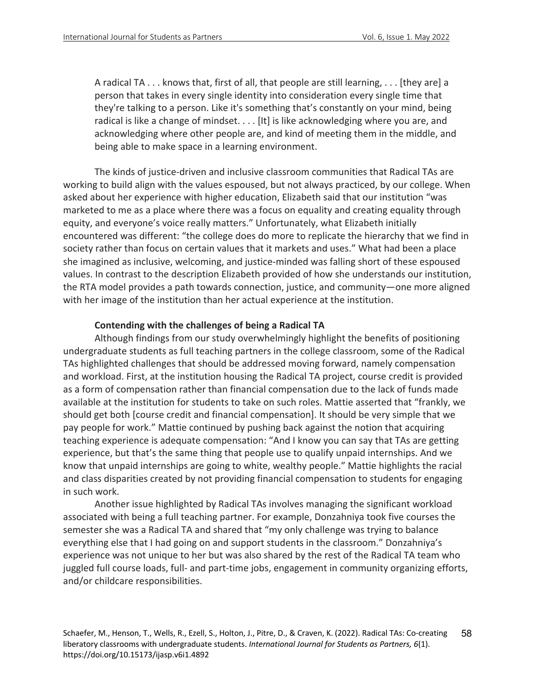A radical TA . . . knows that, first of all, that people are still learning, . . . [they are] a person that takes in every single identity into consideration every single time that they're talking to a person. Like it's something that's constantly on your mind, being radical is like a change of mindset.... [It] is like acknowledging where you are, and acknowledging where other people are, and kind of meeting them in the middle, and being able to make space in a learning environment.

The kinds of justice-driven and inclusive classroom communities that Radical TAs are working to build align with the values espoused, but not always practiced, by our college. When asked about her experience with higher education, Elizabeth said that our institution "was marketed to me as a place where there was a focus on equality and creating equality through equity, and everyone's voice really matters." Unfortunately, what Elizabeth initially encountered was different: "the college does do more to replicate the hierarchy that we find in society rather than focus on certain values that it markets and uses." What had been a place she imagined as inclusive, welcoming, and justice-minded was falling short of these espoused values. In contrast to the description Elizabeth provided of how she understands our institution, the RTA model provides a path towards connection, justice, and community—one more aligned with her image of the institution than her actual experience at the institution.

## **Contending with the challenges of being a Radical TA**

Although findings from our study overwhelmingly highlight the benefits of positioning undergraduate students as full teaching partners in the college classroom, some of the Radical TAs highlighted challenges that should be addressed moving forward, namely compensation and workload. First, at the institution housing the Radical TA project, course credit is provided as a form of compensation rather than financial compensation due to the lack of funds made available at the institution for students to take on such roles. Mattie asserted that "frankly, we should get both [course credit and financial compensation]. It should be very simple that we pay people for work." Mattie continued by pushing back against the notion that acquiring teaching experience is adequate compensation: "And I know you can say that TAs are getting experience, but that's the same thing that people use to qualify unpaid internships. And we know that unpaid internships are going to white, wealthy people." Mattie highlights the racial and class disparities created by not providing financial compensation to students for engaging in such work.

Another issue highlighted by Radical TAs involves managing the significant workload associated with being a full teaching partner. For example, Donzahniya took five courses the semester she was a Radical TA and shared that "my only challenge was trying to balance everything else that I had going on and support students in the classroom." Donzahniya's experience was not unique to her but was also shared by the rest of the Radical TA team who juggled full course loads, full- and part-time jobs, engagement in community organizing efforts, and/or childcare responsibilities.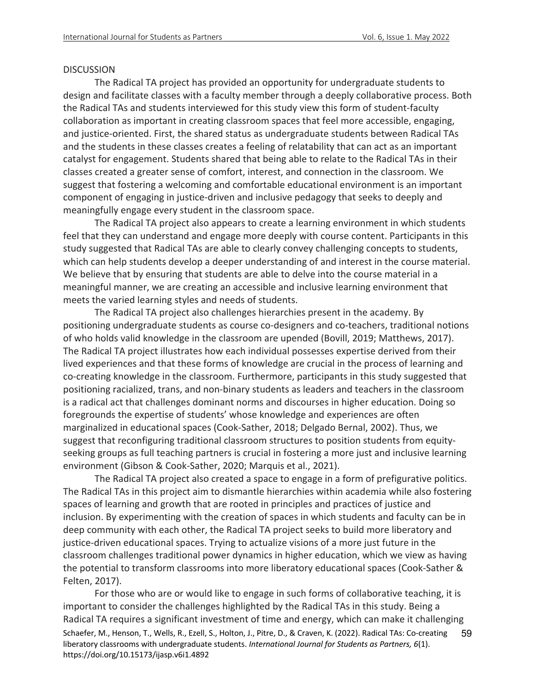#### **DISCUSSION**

The Radical TA project has provided an opportunity for undergraduate students to design and facilitate classes with a faculty member through a deeply collaborative process. Both the Radical TAs and students interviewed for this study view this form of student-faculty collaboration as important in creating classroom spaces that feel more accessible, engaging, and justice-oriented. First, the shared status as undergraduate students between Radical TAs and the students in these classes creates a feeling of relatability that can act as an important catalyst for engagement. Students shared that being able to relate to the Radical TAs in their classes created a greater sense of comfort, interest, and connection in the classroom. We suggest that fostering a welcoming and comfortable educational environment is an important component of engaging in justice-driven and inclusive pedagogy that seeks to deeply and meaningfully engage every student in the classroom space.

The Radical TA project also appears to create a learning environment in which students feel that they can understand and engage more deeply with course content. Participants in this study suggested that Radical TAs are able to clearly convey challenging concepts to students, which can help students develop a deeper understanding of and interest in the course material. We believe that by ensuring that students are able to delve into the course material in a meaningful manner, we are creating an accessible and inclusive learning environment that meets the varied learning styles and needs of students.

The Radical TA project also challenges hierarchies present in the academy. By positioning undergraduate students as course co-designers and co-teachers, traditional notions of who holds valid knowledge in the classroom are upended (Bovill, 2019; Matthews, 2017). The Radical TA project illustrates how each individual possesses expertise derived from their lived experiences and that these forms of knowledge are crucial in the process of learning and co-creating knowledge in the classroom. Furthermore, participants in this study suggested that positioning racialized, trans, and non-binary students as leaders and teachers in the classroom is a radical act that challenges dominant norms and discourses in higher education. Doing so foregrounds the expertise of students' whose knowledge and experiences are often marginalized in educational spaces (Cook-Sather, 2018; Delgado Bernal, 2002). Thus, we suggest that reconfiguring traditional classroom structures to position students from equityseeking groups as full teaching partners is crucial in fostering a more just and inclusive learning environment (Gibson & Cook-Sather, 2020; Marquis et al., 2021).

The Radical TA project also created a space to engage in a form of prefigurative politics. The Radical TAs in this project aim to dismantle hierarchies within academia while also fostering spaces of learning and growth that are rooted in principles and practices of justice and inclusion. By experimenting with the creation of spaces in which students and faculty can be in deep community with each other, the Radical TA project seeks to build more liberatory and justice-driven educational spaces. Trying to actualize visions of a more just future in the classroom challenges traditional power dynamics in higher education, which we view as having the potential to transform classrooms into more liberatory educational spaces (Cook-Sather & Felten, 2017).

Schaefer, M., Henson, T., Wells, R., Ezell, S., Holton, J., Pitre, D., & Craven, K. (2022). Radical TAs: Co-creating liberatory classrooms with undergraduate students. *International Journal for Students as Partners, 6*(1). https://doi.org/10.15173/ijasp.v6i1.4892 59 For those who are or would like to engage in such forms of collaborative teaching, it is important to consider the challenges highlighted by the Radical TAs in this study. Being a Radical TA requires a significant investment of time and energy, which can make it challenging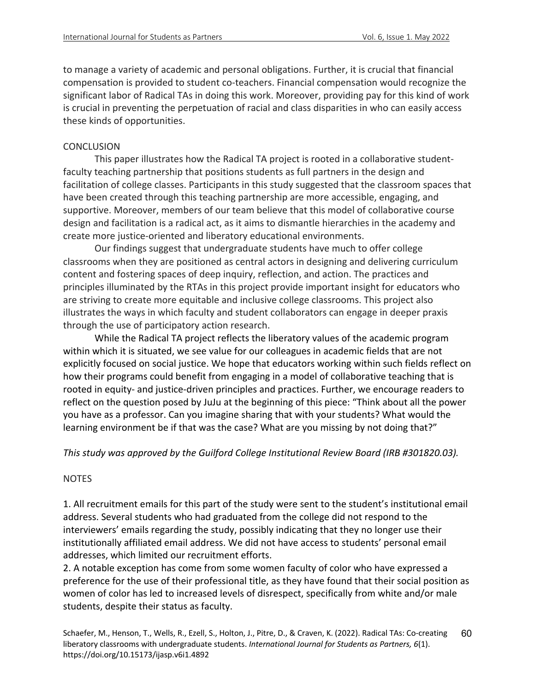to manage a variety of academic and personal obligations. Further, it is crucial that financial compensation is provided to student co-teachers. Financial compensation would recognize the significant labor of Radical TAs in doing this work. Moreover, providing pay for this kind of work is crucial in preventing the perpetuation of racial and class disparities in who can easily access these kinds of opportunities.

## **CONCLUSION**

This paper illustrates how the Radical TA project is rooted in a collaborative studentfaculty teaching partnership that positions students as full partners in the design and facilitation of college classes. Participants in this study suggested that the classroom spaces that have been created through this teaching partnership are more accessible, engaging, and supportive. Moreover, members of our team believe that this model of collaborative course design and facilitation is a radical act, as it aims to dismantle hierarchies in the academy and create more justice-oriented and liberatory educational environments.

Our findings suggest that undergraduate students have much to offer college classrooms when they are positioned as central actors in designing and delivering curriculum content and fostering spaces of deep inquiry, reflection, and action. The practices and principles illuminated by the RTAs in this project provide important insight for educators who are striving to create more equitable and inclusive college classrooms. This project also illustrates the ways in which faculty and student collaborators can engage in deeper praxis through the use of participatory action research.

While the Radical TA project reflects the liberatory values of the academic program within which it is situated, we see value for our colleagues in academic fields that are not explicitly focused on social justice. We hope that educators working within such fields reflect on how their programs could benefit from engaging in a model of collaborative teaching that is rooted in equity- and justice-driven principles and practices. Further, we encourage readers to reflect on the question posed by JuJu at the beginning of this piece: "Think about all the power you have as a professor. Can you imagine sharing that with your students? What would the learning environment be if that was the case? What are you missing by not doing that?"

*This study was approved by the Guilford College Institutional Review Board (IRB #301820.03).* 

# NOTES

1. All recruitment emails for this part of the study were sent to the student's institutional email address. Several students who had graduated from the college did not respond to the interviewers' emails regarding the study, possibly indicating that they no longer use their institutionally affiliated email address. We did not have access to students' personal email addresses, which limited our recruitment efforts.

2. A notable exception has come from some women faculty of color who have expressed a preference for the use of their professional title, as they have found that their social position as women of color has led to increased levels of disrespect, specifically from white and/or male students, despite their status as faculty.

Schaefer, M., Henson, T., Wells, R., Ezell, S., Holton, J., Pitre, D., & Craven, K. (2022). Radical TAs: Co-creating liberatory classrooms with undergraduate students. *International Journal for Students as Partners, 6*(1). https://doi.org/10.15173/ijasp.v6i1.4892 60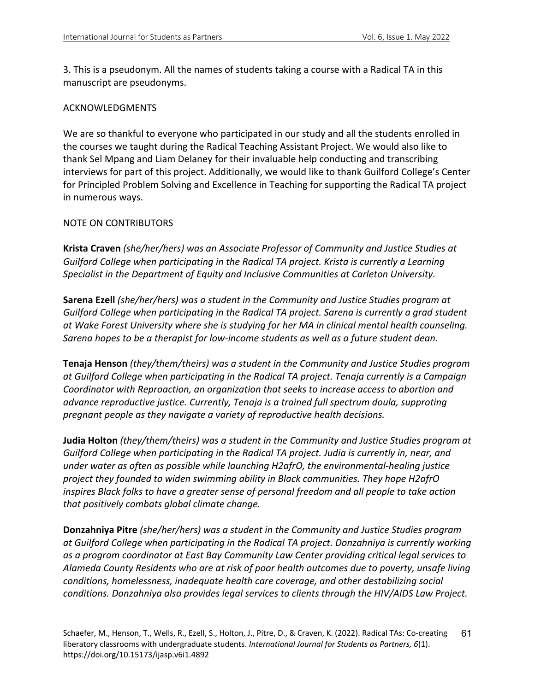3. This is a pseudonym. All the names of students taking a course with a Radical TA in this manuscript are pseudonyms.

## ACKNOWLEDGMENTS

We are so thankful to everyone who participated in our study and all the students enrolled in the courses we taught during the Radical Teaching Assistant Project. We would also like to thank Sel Mpang and Liam Delaney for their invaluable help conducting and transcribing interviews for part of this project. Additionally, we would like to thank Guilford College's Center for Principled Problem Solving and Excellence in Teaching for supporting the Radical TA project in numerous ways.

#### NOTE ON CONTRIBUTORS

**Krista Craven** *(she/her/hers) was an Associate Professor of Community and Justice Studies at Guilford College when participating in the Radical TA project. Krista is currently a Learning Specialist in the Department of Equity and Inclusive Communities at Carleton University.*

**Sarena Ezell** *(she/her/hers) was a student in the Community and Justice Studies program at Guilford College when participating in the Radical TA project. Sarena is currently a grad student at Wake Forest University where she is studying for her MA in clinical mental health counseling. Sarena hopes to be a therapist for low-income students as well as a future student dean.* 

**Tenaja Henson** *(they/them/theirs) was a student in the Community and Justice Studies program at Guilford College when participating in the Radical TA project. Tenaja currently is a Campaign Coordinator with Reproaction, an organization that seeks to increase access to abortion and advance reproductive justice. Currently, Tenaja is a trained full spectrum doula, supproting pregnant people as they navigate a variety of reproductive health decisions.*

**Judia Holton** *(they/them/theirs) was a student in the Community and Justice Studies program at Guilford College when participating in the Radical TA project. Judia is currently in, near, and under water as often as possible while launching H2afrO, the environmental-healing justice project they founded to widen swimming ability in Black communities. They hope H2afrO inspires Black folks to have a greater sense of personal freedom and all people to take action that positively combats global climate change.*

**Donzahniya Pitre** *(she/her/hers) was a student in the Community and Justice Studies program at Guilford College when participating in the Radical TA project. Donzahniya is currently working as a program coordinator at East Bay Community Law Center providing critical legal services to Alameda County Residents who are at risk of poor health outcomes due to poverty, unsafe living conditions, homelessness, inadequate health care coverage, and other destabilizing social conditions. Donzahniya also provides legal services to clients through the HIV/AIDS Law Project.*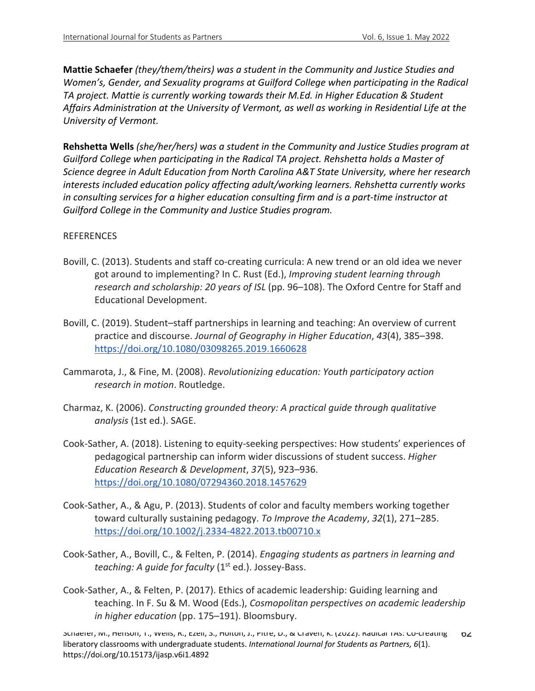**Mattie Schaefer** *(they/them/theirs) was a student in the Community and Justice Studies and Women's, Gender, and Sexuality programs at Guilford College when participating in the Radical TA project. Mattie is currently working towards their M.Ed. in Higher Education & Student Affairs Administration at the University of Vermont, as well as working in Residential Life at the University of Vermont.* 

**Rehshetta Wells** *(she/her/hers) was a student in the Community and Justice Studies program at Guilford College when participating in the Radical TA project. Rehshetta holds a Master of Science degree in Adult Education from North Carolina A&T State University, where her research interests included education policy affecting adult/working learners. Rehshetta currently works in consulting services for a higher education consulting firm and is a part-time instructor at Guilford College in the Community and Justice Studies program.*

# **REFERENCES**

- Bovill, C. (2013). Students and staff co-creating curricula: A new trend or an old idea we never got around to implementing? In C. Rust (Ed.), *Improving student learning through research and scholarship: 20 years of ISL* (pp. 96–108). The Oxford Centre for Staff and Educational Development.
- Bovill, C. (2019). Student–staff partnerships in learning and teaching: An overview of current practice and discourse. *Journal of Geography in Higher Education*, *43*(4), 385–398. https://doi.org/10.1080/03098265.2019.1660628
- Cammarota, J., & Fine, M. (2008). *Revolutionizing education: Youth participatory action research in motion*. Routledge.
- Charmaz, K. (2006). *Constructing grounded theory: A practical guide through qualitative analysis* (1st ed.). SAGE.
- Cook-Sather, A. (2018). Listening to equity-seeking perspectives: How students' experiences of pedagogical partnership can inform wider discussions of student success. *Higher Education Research & Development*, *37*(5), 923–936. https://doi.org/10.1080/07294360.2018.1457629
- Cook-Sather, A., & Agu, P. (2013). Students of color and faculty members working together toward culturally sustaining pedagogy. *To Improve the Academy*, *32*(1), 271–285. https://doi.org/10.1002/j.2334-4822.2013.tb00710.x
- Cook-Sather, A., Bovill, C., & Felten, P. (2014). *Engaging students as partners in learning and teaching: A guide for faculty* (1<sup>st</sup> ed.). Jossey-Bass.
- Cook-Sather, A., & Felten, P. (2017). Ethics of academic leadership: Guiding learning and teaching. In F. Su & M. Wood (Eds.), *Cosmopolitan perspectives on academic leadership in higher education* (pp. 175–191). Bloomsbury.

Schaefer, M., Henson, T., Wells, R., Ezell, S., Holton, J., Pitre, D., & Craven, K. (2022). Radical TAs: Co-creating liberatory classrooms with undergraduate students. *International Journal for Students as Partners, 6*(1). https://doi.org/10.15173/ijasp.v6i1.4892 0Z